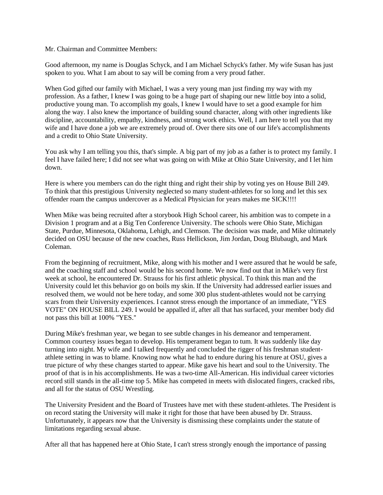Mr. Chairman and Committee Members:

Good afternoon, my name is Douglas Schyck, and I am Michael Schyck's father. My wife Susan has just spoken to you. What I am about to say will be coming from a very proud father.

When God gifted our family with Michael, I was a very young man just finding my way with my profession. As a father, I knew I was going to be a huge part of shaping our new little boy into a solid, productive young man. To accomplish my goals, I knew I would have to set a good example for him along the way. I also knew the importance of building sound character, along with other ingredients like discipline, accountability, empathy, kindness, and strong work ethics. Well, I am here to tell you that my wife and I have done a job we are extremely proud of. Over there sits one of our life's accomplishments and a credit to Ohio State University.

You ask why I am telling you this, that's simple. A big part of my job as a father is to protect my family. I feel I have failed here; I did not see what was going on with Mike at Ohio State University, and I let him down.

Here is where you members can do the right thing and right their ship by voting yes on House Bill 249. To think that this prestigious University neglected so many student-athletes for so long and let this sex offender roam the campus undercover as a Medical Physician for years makes me SICK!!!!

When Mike was being recruited after a storybook High School career, his ambition was to compete in a Division 1 program and at a Big Ten Conference University. The schools were Ohio State, Michigan State, Purdue, Minnesota, Oklahoma, Lehigh, and Clemson. The decision was made, and Mike ultimately decided on OSU because of the new coaches, Russ Hellickson, Jim Jordan, Doug Blubaugh, and Mark Coleman.

From the beginning of recruitment, Mike, along with his mother and I were assured that he would be safe, and the coaching staff and school would be his second home. We now find out that in Mike's very first week at school, he encountered Dr. Strauss for his first athletic physical. To think this man and the University could let this behavior go on boils my skin. If the University had addressed earlier issues and resolved them, we would not be here today, and some 300 plus student-athletes would not be carrying scars from their University experiences. I cannot stress enough the importance of an immediate, "YES VOTE" ON HOUSE BILL 249. I would be appalled if, after all that has surfaced, your member body did not pass this bill at 100% "YES.''

During Mike's freshman year, we began to see subtle changes in his demeanor and temperament. Common courtesy issues began to develop. His temperament began to tum. It was suddenly like day turning into night. My wife and I talked frequently and concluded the rigger of his freshman studentathlete setting in was to blame. Knowing now what he had to endure during his tenure at OSU, gives a true picture of why these changes started to appear. Mike gave his heart and soul to the University. The proof of that is in his accomplishments. He was a two-time All-American. His individual career victories record still stands in the all-time top 5. Mike has competed in meets with dislocated fingers, cracked ribs, and all for the status of OSU Wrestling.

The University President and the Board of Trustees have met with these student-athletes. The President is on record stating the University will make it right for those that have been abused by Dr. Strauss. Unfortunately, it appears now that the University is dismissing these complaints under the statute of limitations regarding sexual abuse.

After all that has happened here at Ohio State, I can't stress strongly enough the importance of passing